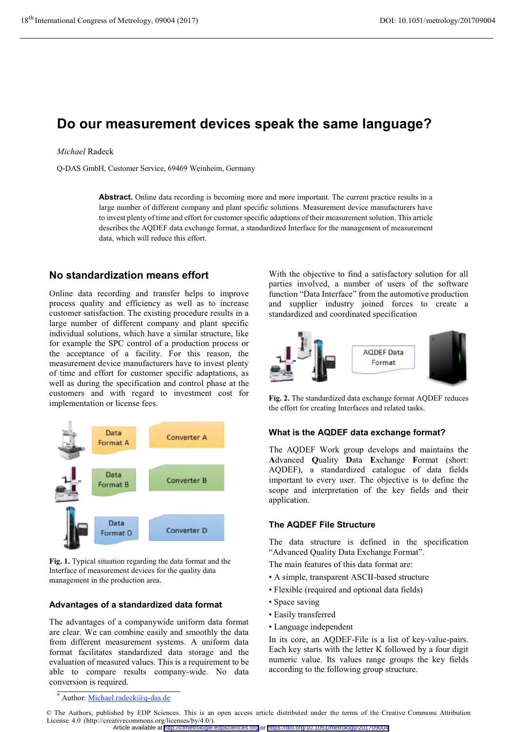# **Do our measurement devices speak the same language?**

#### *Michael* Radeck

Q-DAS GmbH, Customer Service, 69469 Weinheim, Germany

**Abstract.** Online data recording is becoming more and more important. The current practice results in a large number of different company and plant specific solutions. Measurement device manufacturers have to invest plenty of time and effort for customer specific adaptions of their measurement solution. This article describes the AQDEF data exchange format, a standardized Interface for the management of measurement data, which will reduce this effort.

# **No standardization means effort**

Online data recording and transfer helps to improve process quality and efficiency as well as to increase customer satisfaction. The existing procedure results in a large number of different company and plant specific individual solutions, which have a similar structure, like for example the SPC control of a production process or the acceptance of a facility. For this reason, the measurement device manufacturers have to invest plenty of time and effort for customer specific adaptations, as well as during the specification and control phase at the customers and with regard to investment cost for implementation or license fees.



**Fig. 1.** Typical situation regarding the data format and the Interface of measurement devices for the quality data management in the production area.

## **Advantages of a standardized data format**

The advantages of a companywide uniform data format are clear. We can combine easily and smoothly the data from different measurement systems. A uniform data format facilitates standardized data storage and the evaluation of measured values. This is a requirement to be able to compare results company-wide. No data conversion is required.

With the objective to find a satisfactory solution for all parties involved, a number of users of the software function "Data Interface" from the automotive production and supplier industry joined forces to create a standardized and coordinated specification



**Fig. 2.** The standardized data exchange format AQDEF reduces the effort for creating Interfaces and related tasks.

## **What is the AQDEF data exchange format?**

The AQDEF Work group develops and maintains the **A**dvanced **Q**uality **D**ata **E**xchange **F**ormat (short: AQDEF), a standardized catalogue of data fields important to every user. The objective is to define the scope and interpretation of the key fields and their application.

## **The AQDEF File Structure**

The data structure is defined in the specification "Advanced Quality Data Exchange Format".

The main features of this data format are:

- A simple, transparent ASCII-based structure
- Flexible (required and optional data fields)
- Space saving
- Easily transferred
- Language independent

In its core, an AQDEF-File is a list of key-value-pairs. Each key starts with the letter K followed by a four digit numeric value. Its values range groups the key fields according to the following group structure.

<sup>\*</sup> Author: Michael.radeck@q-das.de

<sup>©</sup> The Authors, published by EDP Sciences. This is an open access article distributed under the terms of the Creative Commons Attribution License 4.0 (http://creativecommons.org/licenses/by/4.0/).

Article available at <http://cfmetrologie.edpsciences.org> or <https://doi.org/10.1051/metrology/201709004>